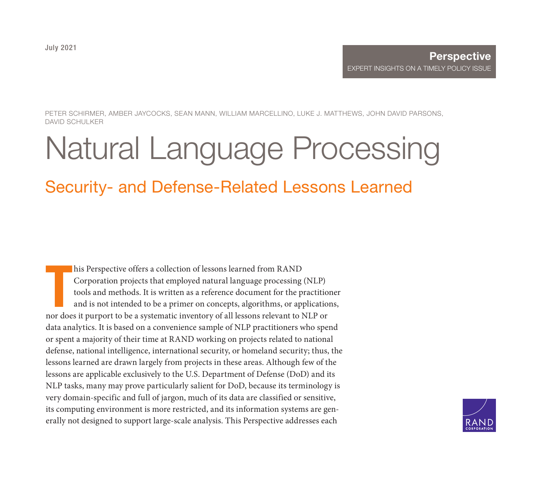PETER SCHIRMER, AMBER JAYCOCKS, SEAN MANN, WILLIAM MARCELLINO, LUKE J. MATTHEWS, JOHN DAVID PARSONS, DAVID SCHULKER

# [Natural Language Processing](https://www.rand.org/pubs/perspectives/PEA926-1.html)

# Security- and Defense-Related Lessons Learned

his Perspective offers a collection of lessons learned from RAND<br>Corporation projects that employed natural language processing (NLP)<br>tools and methods. It is written as a reference document for the practitio<br>and is not in his Perspective offers a collection of lessons learned from RAND Corporation projects that employed natural language processing (NLP) tools and methods. It is written as a reference document for the practitioner and is not intended to be a primer on concepts, algorithms, or applications, data analytics. It is based on a convenience sample of NLP practitioners who spend or spent a majority of their time at RAND working on projects related to national defense, national intelligence, international security, or homeland security; thus, the lessons learned are drawn largely from projects in these areas. Although few of the lessons are applicable exclusively to the U.S. Department of Defense (DoD) and its NLP tasks, many may prove particularly salient for DoD, because its terminology is very domain-specific and full of jargon, much of its data are classified or sensitive, its computing environment is more restricted, and its information systems are generally not designed to support large-scale analysis. This Perspective addresses each

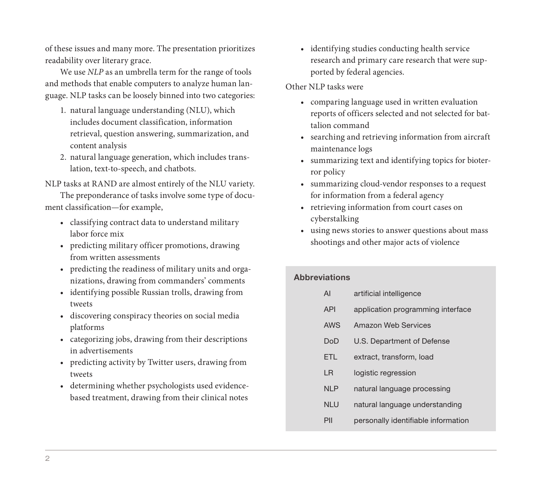of these issues and many more. The presentation prioritizes readability over literary grace.

We use *NLP* as an umbrella term for the range of tools and methods that enable computers to analyze human language. NLP tasks can be loosely binned into two categories:

- 1. natural language understanding (NLU), which includes document classification, information retrieval, question answering, summarization, and content analysis
- 2. natural language generation, which includes translation, text-to-speech, and chatbots.

NLP tasks at RAND are almost entirely of the NLU variety.

The preponderance of tasks involve some type of document classification—for example,

- classifying contract data to understand military labor force mix
- predicting military officer promotions, drawing from written assessments
- predicting the readiness of military units and organizations, drawing from commanders' comments
- identifying possible Russian trolls, drawing from tweets
- discovering conspiracy theories on social media platforms
- categorizing jobs, drawing from their descriptions in advertisements
- predicting activity by Twitter users, drawing from tweets
- determining whether psychologists used evidencebased treatment, drawing from their clinical notes

• identifying studies conducting health service research and primary care research that were supported by federal agencies.

#### Other NLP tasks were

- comparing language used in written evaluation reports of officers selected and not selected for battalion command
- searching and retrieving information from aircraft maintenance logs
- summarizing text and identifying topics for bioterror policy
- summarizing cloud-vendor responses to a request for information from a federal agency
- retrieving information from court cases on cyberstalking
- using news stories to answer questions about mass shootings and other major acts of violence

#### Abbreviations

- AI artificial intelligence
- API application programming interface
- AWS Amazon Web Services
- DoD U.S. Department of Defense
- ETL extract, transform, load
- LR logistic regression
- NLP natural language processing
- NLU natural language understanding
- PII personally identifiable information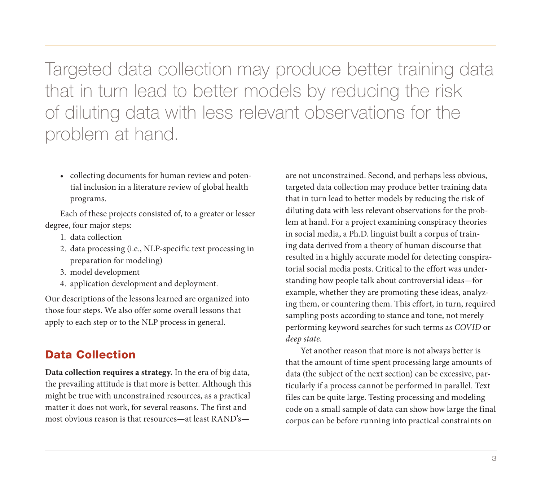Targeted data collection may produce better training data that in turn lead to better models by reducing the risk of diluting data with less relevant observations for the problem at hand.

• collecting documents for human review and potential inclusion in a literature review of global health programs.

Each of these projects consisted of, to a greater or lesser degree, four major steps:

- 1. data collection
- 2. data processing (i.e., NLP-specific text processing in preparation for modeling)
- 3. model development
- 4. application development and deployment.

Our descriptions of the lessons learned are organized into those four steps. We also offer some overall lessons that apply to each step or to the NLP process in general.

# Data Collection

**Data collection requires a strategy.** In the era of big data, the prevailing attitude is that more is better. Although this might be true with unconstrained resources, as a practical matter it does not work, for several reasons. The first and most obvious reason is that resources—at least RAND's—

are not unconstrained. Second, and perhaps less obvious, targeted data collection may produce better training data that in turn lead to better models by reducing the risk of diluting data with less relevant observations for the problem at hand. For a project examining conspiracy theories in social media, a Ph.D. linguist built a corpus of training data derived from a theory of human discourse that resulted in a highly accurate model for detecting conspiratorial social media posts. Critical to the effort was understanding how people talk about controversial ideas—for example, whether they are promoting these ideas, analyzing them, or countering them. This effort, in turn, required sampling posts according to stance and tone, not merely performing keyword searches for such terms as *COVID* or *deep state*.

Yet another reason that more is not always better is that the amount of time spent processing large amounts of data (the subject of the next section) can be excessive, particularly if a process cannot be performed in parallel. Text files can be quite large. Testing processing and modeling code on a small sample of data can show how large the final corpus can be before running into practical constraints on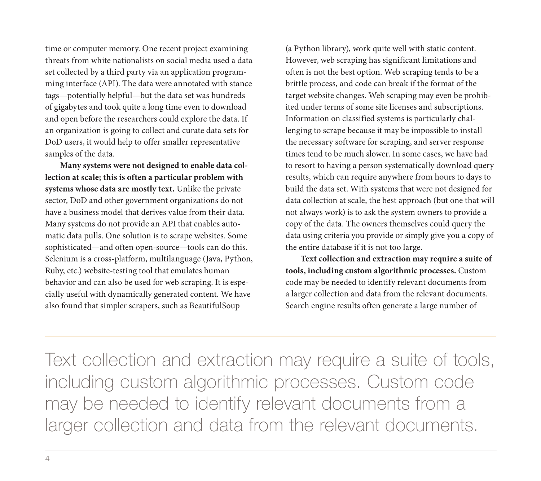time or computer memory. One recent project examining threats from white nationalists on social media used a data set collected by a third party via an application programming interface (API). The data were annotated with stance tags—potentially helpful—but the data set was hundreds of gigabytes and took quite a long time even to download and open before the researchers could explore the data. If an organization is going to collect and curate data sets for DoD users, it would help to offer smaller representative samples of the data.

**Many systems were not designed to enable data collection at scale; this is often a particular problem with systems whose data are mostly text.** Unlike the private sector, DoD and other government organizations do not have a business model that derives value from their data. Many systems do not provide an API that enables automatic data pulls. One solution is to scrape websites. Some sophisticated—and often open-source—tools can do this. Selenium is a cross-platform, multilanguage (Java, Python, Ruby, etc.) website-testing tool that emulates human behavior and can also be used for web scraping. It is especially useful with dynamically generated content. We have also found that simpler scrapers, such as BeautifulSoup

(a Python library), work quite well with static content. However, web scraping has significant limitations and often is not the best option. Web scraping tends to be a brittle process, and code can break if the format of the target website changes. Web scraping may even be prohibited under terms of some site licenses and subscriptions. Information on classified systems is particularly challenging to scrape because it may be impossible to install the necessary software for scraping, and server response times tend to be much slower. In some cases, we have had to resort to having a person systematically download query results, which can require anywhere from hours to days to build the data set. With systems that were not designed for data collection at scale, the best approach (but one that will not always work) is to ask the system owners to provide a copy of the data. The owners themselves could query the data using criteria you provide or simply give you a copy of the entire database if it is not too large.

**Text collection and extraction may require a suite of tools, including custom algorithmic processes.** Custom code may be needed to identify relevant documents from a larger collection and data from the relevant documents. Search engine results often generate a large number of

Text collection and extraction may require a suite of tools, including custom algorithmic processes. Custom code may be needed to identify relevant documents from a larger collection and data from the relevant documents.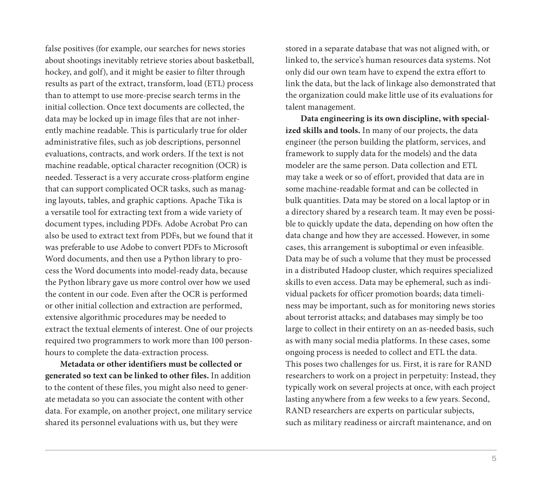false positives (for example, our searches for news stories about shootings inevitably retrieve stories about basketball, hockey, and golf), and it might be easier to filter through results as part of the extract, transform, load (ETL) process than to attempt to use more-precise search terms in the initial collection. Once text documents are collected, the data may be locked up in image files that are not inherently machine readable. This is particularly true for older administrative files, such as job descriptions, personnel evaluations, contracts, and work orders. If the text is not machine readable, optical character recognition (OCR) is needed. Tesseract is a very accurate cross-platform engine that can support complicated OCR tasks, such as managing layouts, tables, and graphic captions. Apache Tika is a versatile tool for extracting text from a wide variety of document types, including PDFs. Adobe Acrobat Pro can also be used to extract text from PDFs, but we found that it was preferable to use Adobe to convert PDFs to Microsoft Word documents, and then use a Python library to process the Word documents into model-ready data, because the Python library gave us more control over how we used the content in our code. Even after the OCR is performed or other initial collection and extraction are performed, extensive algorithmic procedures may be needed to extract the textual elements of interest. One of our projects required two programmers to work more than 100 personhours to complete the data-extraction process.

**Metadata or other identifiers must be collected or generated so text can be linked to other files.** In addition to the content of these files, you might also need to generate metadata so you can associate the content with other data. For example, on another project, one military service shared its personnel evaluations with us, but they were

stored in a separate database that was not aligned with, or linked to, the service's human resources data systems. Not only did our own team have to expend the extra effort to link the data, but the lack of linkage also demonstrated that the organization could make little use of its evaluations for talent management.

**Data engineering is its own discipline, with specialized skills and tools.** In many of our projects, the data engineer (the person building the platform, services, and framework to supply data for the models) and the data modeler are the same person. Data collection and ETL may take a week or so of effort, provided that data are in some machine-readable format and can be collected in bulk quantities. Data may be stored on a local laptop or in a directory shared by a research team. It may even be possible to quickly update the data, depending on how often the data change and how they are accessed. However, in some cases, this arrangement is suboptimal or even infeasible. Data may be of such a volume that they must be processed in a distributed Hadoop cluster, which requires specialized skills to even access. Data may be ephemeral, such as individual packets for officer promotion boards; data timeliness may be important, such as for monitoring news stories about terrorist attacks; and databases may simply be too large to collect in their entirety on an as-needed basis, such as with many social media platforms. In these cases, some ongoing process is needed to collect and ETL the data. This poses two challenges for us. First, it is rare for RAND researchers to work on a project in perpetuity: Instead, they typically work on several projects at once, with each project lasting anywhere from a few weeks to a few years. Second, RAND researchers are experts on particular subjects, such as military readiness or aircraft maintenance, and on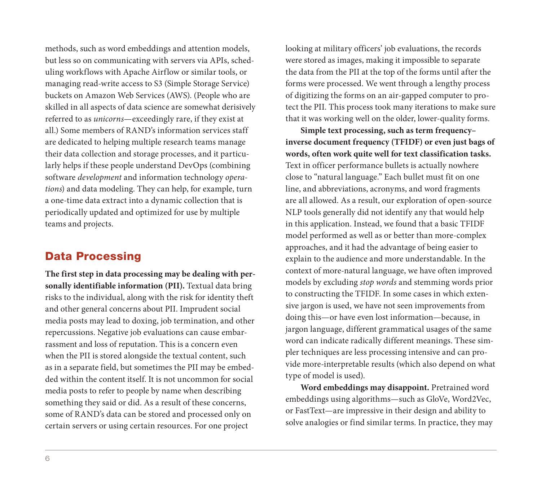methods, such as word embeddings and attention models, but less so on communicating with servers via APIs, scheduling workflows with Apache Airflow or similar tools, or managing read-write access to S3 (Simple Storage Service) buckets on Amazon Web Services (AWS). (People who are skilled in all aspects of data science are somewhat derisively referred to as *unicorns*—exceedingly rare, if they exist at all.) Some members of RAND's information services staff are dedicated to helping multiple research teams manage their data collection and storage processes, and it particularly helps if these people understand DevOps (combining software *development* and information technology *operations*) and data modeling. They can help, for example, turn a one-time data extract into a dynamic collection that is periodically updated and optimized for use by multiple teams and projects.

#### Data Processing

**The first step in data processing may be dealing with personally identifiable information (PII).** Textual data bring risks to the individual, along with the risk for identity theft and other general concerns about PII. Imprudent social media posts may lead to doxing, job termination, and other repercussions. Negative job evaluations can cause embarrassment and loss of reputation. This is a concern even when the PII is stored alongside the textual content, such as in a separate field, but sometimes the PII may be embedded within the content itself. It is not uncommon for social media posts to refer to people by name when describing something they said or did. As a result of these concerns, some of RAND's data can be stored and processed only on certain servers or using certain resources. For one project

looking at military officers' job evaluations, the records were stored as images, making it impossible to separate the data from the PII at the top of the forms until after the forms were processed. We went through a lengthy process of digitizing the forms on an air-gapped computer to protect the PII. This process took many iterations to make sure that it was working well on the older, lower-quality forms.

**Simple text processing, such as term frequency– inverse document frequency (TFIDF) or even just bags of words, often work quite well for text classification tasks.** Text in officer performance bullets is actually nowhere close to "natural language." Each bullet must fit on one line, and abbreviations, acronyms, and word fragments are all allowed. As a result, our exploration of open-source NLP tools generally did not identify any that would help in this application. Instead, we found that a basic TFIDF model performed as well as or better than more-complex approaches, and it had the advantage of being easier to explain to the audience and more understandable. In the context of more-natural language, we have often improved models by excluding *stop words* and stemming words prior to constructing the TFIDF. In some cases in which extensive jargon is used, we have not seen improvements from doing this—or have even lost information—because, in jargon language, different grammatical usages of the same word can indicate radically different meanings. These simpler techniques are less processing intensive and can provide more-interpretable results (which also depend on what type of model is used).

**Word embeddings may disappoint.** Pretrained word embeddings using algorithms—such as GloVe, Word2Vec, or FastText—are impressive in their design and ability to solve analogies or find similar terms. In practice, they may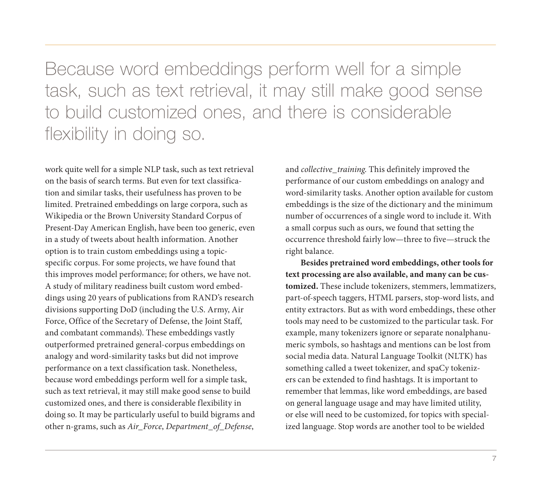Because word embeddings perform well for a simple task, such as text retrieval, it may still make good sense to build customized ones, and there is considerable flexibility in doing so.

work quite well for a simple NLP task, such as text retrieval on the basis of search terms. But even for text classification and similar tasks, their usefulness has proven to be limited. Pretrained embeddings on large corpora, such as Wikipedia or the Brown University Standard Corpus of Present-Day American English, have been too generic, even in a study of tweets about health information. Another option is to train custom embeddings using a topicspecific corpus. For some projects, we have found that this improves model performance; for others, we have not. A study of military readiness built custom word embeddings using 20 years of publications from RAND's research divisions supporting DoD (including the U.S. Army, Air Force, Office of the Secretary of Defense, the Joint Staff, and combatant commands). These embeddings vastly outperformed pretrained general-corpus embeddings on analogy and word-similarity tasks but did not improve performance on a text classification task. Nonetheless, because word embeddings perform well for a simple task, such as text retrieval, it may still make good sense to build customized ones, and there is considerable flexibility in doing so. It may be particularly useful to build bigrams and other n-grams, such as *Air\_Force*, *Department\_of\_Defense*,

and *collective\_training*. This definitely improved the performance of our custom embeddings on analogy and word-similarity tasks. Another option available for custom embeddings is the size of the dictionary and the minimum number of occurrences of a single word to include it. With a small corpus such as ours, we found that setting the occurrence threshold fairly low—three to five—struck the right balance.

**Besides pretrained word embeddings, other tools for text processing are also available, and many can be customized.** These include tokenizers, stemmers, lemmatizers, part-of-speech taggers, HTML parsers, stop-word lists, and entity extractors. But as with word embeddings, these other tools may need to be customized to the particular task. For example, many tokenizers ignore or separate nonalphanumeric symbols, so hashtags and mentions can be lost from social media data. Natural Language Toolkit (NLTK) has something called a tweet tokenizer, and spaCy tokenizers can be extended to find hashtags. It is important to remember that lemmas, like word embeddings, are based on general language usage and may have limited utility, or else will need to be customized, for topics with specialized language. Stop words are another tool to be wielded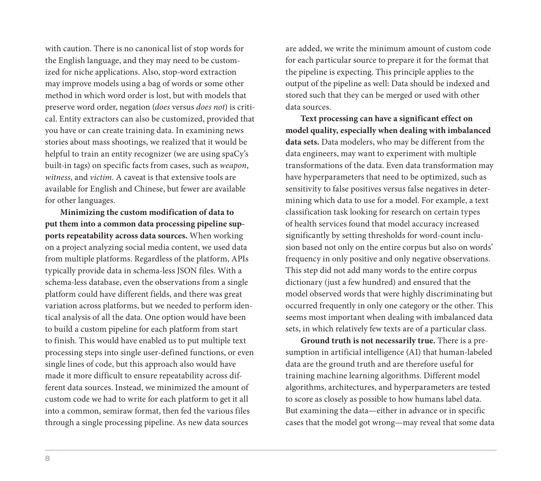with caution. There is no canonical list of stop words for the English language, and they may need to be customized for niche applications. Also, stop-word extraction may improve models using a bag of words or some other method in which word order is lost, but with models that preserve word order, negation (*does* versus *does not*) is critical. Entity extractors can also be customized, provided that you have or can create training data. In examining news stories about mass shootings, we realized that it would be helpful to train an entity recognizer (we are using spaCy's built-in tags) on specific facts from cases, such as *weapon*, *witness*, and *victim*. A caveat is that extensive tools are available for English and Chinese, but fewer are available for other languages.

**Minimizing the custom modification of data to put them into a common data processing pipeline supports repeatability across data sources.** When working on a project analyzing social media content, we used data from multiple platforms. Regardless of the platform, APIs typically provide data in schema-less JSON files. With a schema-less database, even the observations from a single platform could have different fields, and there was great variation across platforms, but we needed to perform identical analysis of all the data. One option would have been to build a custom pipeline for each platform from start to finish. This would have enabled us to put multiple text processing steps into single user-defined functions, or even single lines of code, but this approach also would have made it more difficult to ensure repeatability across different data sources. Instead, we minimized the amount of custom code we had to write for each platform to get it all into a common, semiraw format, then fed the various files through a single processing pipeline. As new data sources

are added, we write the minimum amount of custom code for each particular source to prepare it for the format that the pipeline is expecting. This principle applies to the output of the pipeline as well: Data should be indexed and stored such that they can be merged or used with other data sources.

**Text processing can have a significant effect on model quality, especially when dealing with imbalanced data sets.** Data modelers, who may be different from the data engineers, may want to experiment with multiple transformations of the data. Even data transformation may have hyperparameters that need to be optimized, such as sensitivity to false positives versus false negatives in determining which data to use for a model. For example, a text classification task looking for research on certain types of health services found that model accuracy increased significantly by setting thresholds for word-count inclusion based not only on the entire corpus but also on words' frequency in only positive and only negative observations. This step did not add many words to the entire corpus dictionary (just a few hundred) and ensured that the model observed words that were highly discriminating but occurred frequently in only one category or the other. This seems most important when dealing with imbalanced data sets, in which relatively few texts are of a particular class.

**Ground truth is not necessarily true.** There is a presumption in artificial intelligence (AI) that human-labeled data are the ground truth and are therefore useful for training machine learning algorithms. Different model algorithms, architectures, and hyperparameters are tested to score as closely as possible to how humans label data. But examining the data—either in advance or in specific cases that the model got wrong—may reveal that some data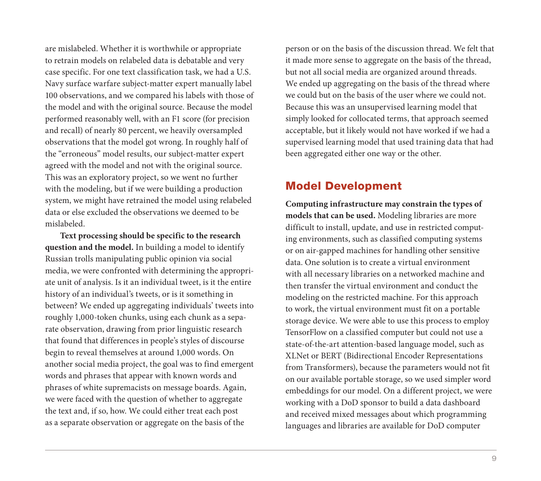are mislabeled. Whether it is worthwhile or appropriate to retrain models on relabeled data is debatable and very case specific. For one text classification task, we had a U.S. Navy surface warfare subject-matter expert manually label 100 observations, and we compared his labels with those of the model and with the original source. Because the model performed reasonably well, with an F1 score (for precision and recall) of nearly 80 percent, we heavily oversampled observations that the model got wrong. In roughly half of the "erroneous" model results, our subject-matter expert agreed with the model and not with the original source. This was an exploratory project, so we went no further with the modeling, but if we were building a production system, we might have retrained the model using relabeled data or else excluded the observations we deemed to be mislabeled.

**Text processing should be specific to the research question and the model.** In building a model to identify Russian trolls manipulating public opinion via social media, we were confronted with determining the appropriate unit of analysis. Is it an individual tweet, is it the entire history of an individual's tweets, or is it something in between? We ended up aggregating individuals' tweets into roughly 1,000-token chunks, using each chunk as a separate observation, drawing from prior linguistic research that found that differences in people's styles of discourse begin to reveal themselves at around 1,000 words. On another social media project, the goal was to find emergent words and phrases that appear with known words and phrases of white supremacists on message boards. Again, we were faced with the question of whether to aggregate the text and, if so, how. We could either treat each post as a separate observation or aggregate on the basis of the

person or on the basis of the discussion thread. We felt that it made more sense to aggregate on the basis of the thread, but not all social media are organized around threads. We ended up aggregating on the basis of the thread where we could but on the basis of the user where we could not. Because this was an unsupervised learning model that simply looked for collocated terms, that approach seemed acceptable, but it likely would not have worked if we had a supervised learning model that used training data that had been aggregated either one way or the other.

#### Model Development

**Computing infrastructure may constrain the types of models that can be used.** Modeling libraries are more difficult to install, update, and use in restricted computing environments, such as classified computing systems or on air-gapped machines for handling other sensitive data. One solution is to create a virtual environment with all necessary libraries on a networked machine and then transfer the virtual environment and conduct the modeling on the restricted machine. For this approach to work, the virtual environment must fit on a portable storage device. We were able to use this process to employ TensorFlow on a classified computer but could not use a state-of-the-art attention-based language model, such as XLNet or BERT (Bidirectional Encoder Representations from Transformers), because the parameters would not fit on our available portable storage, so we used simpler word embeddings for our model. On a different project, we were working with a DoD sponsor to build a data dashboard and received mixed messages about which programming languages and libraries are available for DoD computer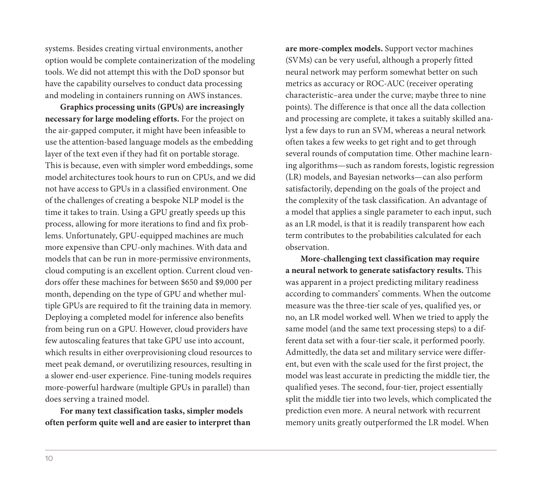systems. Besides creating virtual environments, another option would be complete containerization of the modeling tools. We did not attempt this with the DoD sponsor but have the capability ourselves to conduct data processing and modeling in containers running on AWS instances.

**Graphics processing units (GPUs) are increasingly necessary for large modeling efforts.** For the project on the air-gapped computer, it might have been infeasible to use the attention-based language models as the embedding layer of the text even if they had fit on portable storage. This is because, even with simpler word embeddings, some model architectures took hours to run on CPUs, and we did not have access to GPUs in a classified environment. One of the challenges of creating a bespoke NLP model is the time it takes to train. Using a GPU greatly speeds up this process, allowing for more iterations to find and fix problems. Unfortunately, GPU-equipped machines are much more expensive than CPU-only machines. With data and models that can be run in more-permissive environments, cloud computing is an excellent option. Current cloud vendors offer these machines for between \$650 and \$9,000 per month, depending on the type of GPU and whether multiple GPUs are required to fit the training data in memory. Deploying a completed model for inference also benefits from being run on a GPU. However, cloud providers have few autoscaling features that take GPU use into account, which results in either overprovisioning cloud resources to meet peak demand, or overutilizing resources, resulting in a slower end-user experience. Fine-tuning models requires more-powerful hardware (multiple GPUs in parallel) than does serving a trained model.

**For many text classification tasks, simpler models often perform quite well and are easier to interpret than** 

**are more-complex models.** Support vector machines (SVMs) can be very useful, although a properly fitted neural network may perform somewhat better on such metrics as accuracy or ROC-AUC (receiver operating characteristic–area under the curve; maybe three to nine points). The difference is that once all the data collection and processing are complete, it takes a suitably skilled analyst a few days to run an SVM, whereas a neural network often takes a few weeks to get right and to get through several rounds of computation time. Other machine learning algorithms—such as random forests, logistic regression (LR) models, and Bayesian networks—can also perform satisfactorily, depending on the goals of the project and the complexity of the task classification. An advantage of a model that applies a single parameter to each input, such as an LR model, is that it is readily transparent how each term contributes to the probabilities calculated for each observation.

**More-challenging text classification may require a neural network to generate satisfactory results.** This was apparent in a project predicting military readiness according to commanders' comments. When the outcome measure was the three-tier scale of yes, qualified yes, or no, an LR model worked well. When we tried to apply the same model (and the same text processing steps) to a different data set with a four-tier scale, it performed poorly. Admittedly, the data set and military service were different, but even with the scale used for the first project, the model was least accurate in predicting the middle tier, the qualified yeses. The second, four-tier, project essentially split the middle tier into two levels, which complicated the prediction even more. A neural network with recurrent memory units greatly outperformed the LR model. When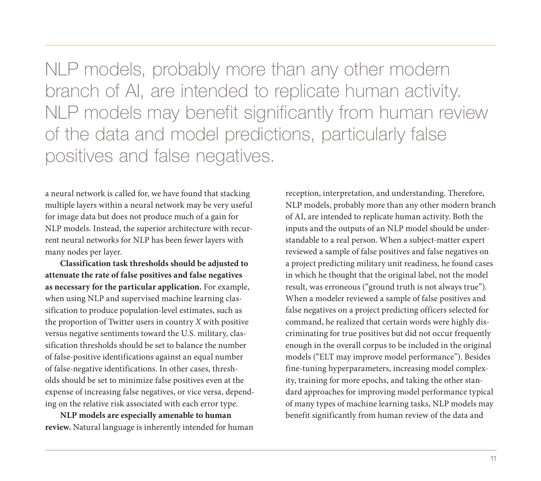NLP models, probably more than any other modern branch of AI, are intended to replicate human activity. NLP models may benefit significantly from human review of the data and model predictions, particularly false positives and false negatives.

a neural network is called for, we have found that stacking multiple layers within a neural network may be very useful for image data but does not produce much of a gain for NLP models. Instead, the superior architecture with recurrent neural networks for NLP has been fewer layers with many nodes per layer.

**Classification task thresholds should be adjusted to attenuate the rate of false positives and false negatives as necessary for the particular application.** For example, when using NLP and supervised machine learning classification to produce population-level estimates, such as the proportion of Twitter users in country *X* with positive versus negative sentiments toward the U.S. military, classification thresholds should be set to balance the number of false-positive identifications against an equal number of false-negative identifications. In other cases, thresholds should be set to minimize false positives even at the expense of increasing false negatives, or vice versa, depending on the relative risk associated with each error type.

**NLP models are especially amenable to human review.** Natural language is inherently intended for human reception, interpretation, and understanding. Therefore, NLP models, probably more than any other modern branch of AI, are intended to replicate human activity. Both the inputs and the outputs of an NLP model should be understandable to a real person. When a subject-matter expert reviewed a sample of false positives and false negatives on a project predicting military unit readiness, he found cases in which he thought that the original label, not the model result, was erroneous ("ground truth is not always true"). When a modeler reviewed a sample of false positives and false negatives on a project predicting officers selected for command, he realized that certain words were highly discriminating for true positives but did not occur frequently enough in the overall corpus to be included in the original models ("ELT may improve model performance"). Besides fine-tuning hyperparameters, increasing model complexity, training for more epochs, and taking the other standard approaches for improving model performance typical of many types of machine learning tasks, NLP models may benefit significantly from human review of the data and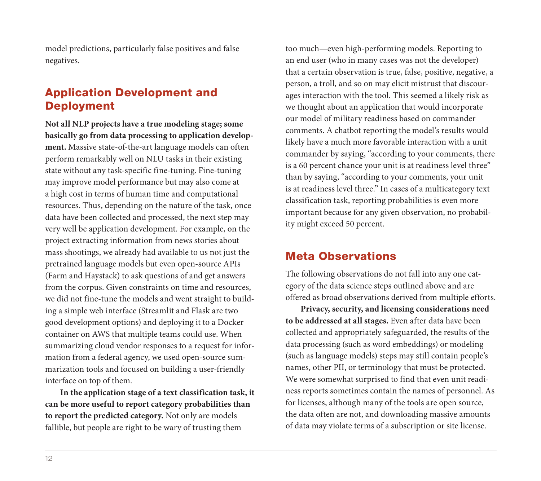model predictions, particularly false positives and false negatives.

# Application Development and Deployment

**Not all NLP projects have a true modeling stage; some basically go from data processing to application development.** Massive state-of-the-art language models can often perform remarkably well on NLU tasks in their existing state without any task-specific fine-tuning. Fine-tuning may improve model performance but may also come at a high cost in terms of human time and computational resources. Thus, depending on the nature of the task, once data have been collected and processed, the next step may very well be application development. For example, on the project extracting information from news stories about mass shootings, we already had available to us not just the pretrained language models but even open-source APIs (Farm and Haystack) to ask questions of and get answers from the corpus. Given constraints on time and resources, we did not fine-tune the models and went straight to building a simple web interface (Streamlit and Flask are two good development options) and deploying it to a Docker container on AWS that multiple teams could use. When summarizing cloud vendor responses to a request for information from a federal agency, we used open-source summarization tools and focused on building a user-friendly interface on top of them.

**In the application stage of a text classification task, it can be more useful to report category probabilities than to report the predicted category.** Not only are models fallible, but people are right to be wary of trusting them

too much—even high-performing models. Reporting to an end user (who in many cases was not the developer) that a certain observation is true, false, positive, negative, a person, a troll, and so on may elicit mistrust that discourages interaction with the tool. This seemed a likely risk as we thought about an application that would incorporate our model of military readiness based on commander comments. A chatbot reporting the model's results would likely have a much more favorable interaction with a unit commander by saying, "according to your comments, there is a 60 percent chance your unit is at readiness level three" than by saying, "according to your comments, your unit is at readiness level three." In cases of a multicategory text classification task, reporting probabilities is even more important because for any given observation, no probability might exceed 50 percent.

## Meta Observations

The following observations do not fall into any one category of the data science steps outlined above and are offered as broad observations derived from multiple efforts.

**Privacy, security, and licensing considerations need to be addressed at all stages.** Even after data have been collected and appropriately safeguarded, the results of the data processing (such as word embeddings) or modeling (such as language models) steps may still contain people's names, other PII, or terminology that must be protected. We were somewhat surprised to find that even unit readiness reports sometimes contain the names of personnel. As for licenses, although many of the tools are open source, the data often are not, and downloading massive amounts of data may violate terms of a subscription or site license.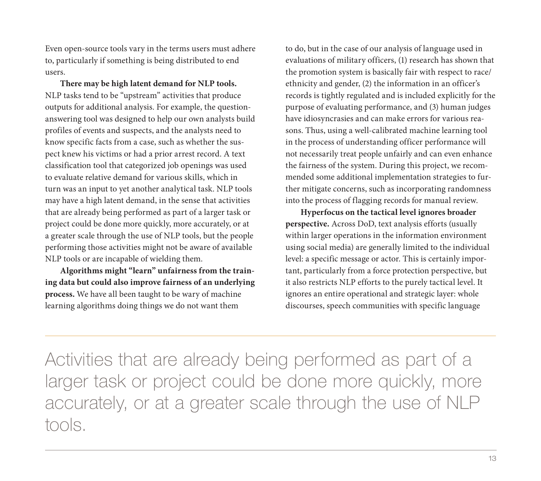Even open-source tools vary in the terms users must adhere to, particularly if something is being distributed to end users.

**There may be high latent demand for NLP tools.** NLP tasks tend to be "upstream" activities that produce outputs for additional analysis. For example, the questionanswering tool was designed to help our own analysts build profiles of events and suspects, and the analysts need to know specific facts from a case, such as whether the suspect knew his victims or had a prior arrest record. A text classification tool that categorized job openings was used to evaluate relative demand for various skills, which in turn was an input to yet another analytical task. NLP tools may have a high latent demand, in the sense that activities that are already being performed as part of a larger task or project could be done more quickly, more accurately, or at a greater scale through the use of NLP tools, but the people performing those activities might not be aware of available NLP tools or are incapable of wielding them.

**Algorithms might "learn" unfairness from the training data but could also improve fairness of an underlying process.** We have all been taught to be wary of machine learning algorithms doing things we do not want them

to do, but in the case of our analysis of language used in evaluations of military officers, (1) research has shown that the promotion system is basically fair with respect to race/ ethnicity and gender, (2) the information in an officer's records is tightly regulated and is included explicitly for the purpose of evaluating performance, and (3) human judges have idiosyncrasies and can make errors for various reasons. Thus, using a well-calibrated machine learning tool in the process of understanding officer performance will not necessarily treat people unfairly and can even enhance the fairness of the system. During this project, we recommended some additional implementation strategies to further mitigate concerns, such as incorporating randomness into the process of flagging records for manual review.

**Hyperfocus on the tactical level ignores broader perspective.** Across DoD, text analysis efforts (usually within larger operations in the information environment using social media) are generally limited to the individual level: a specific message or actor. This is certainly important, particularly from a force protection perspective, but it also restricts NLP efforts to the purely tactical level. It ignores an entire operational and strategic layer: whole discourses, speech communities with specific language

Activities that are already being performed as part of a larger task or project could be done more quickly, more accurately, or at a greater scale through the use of NLP tools.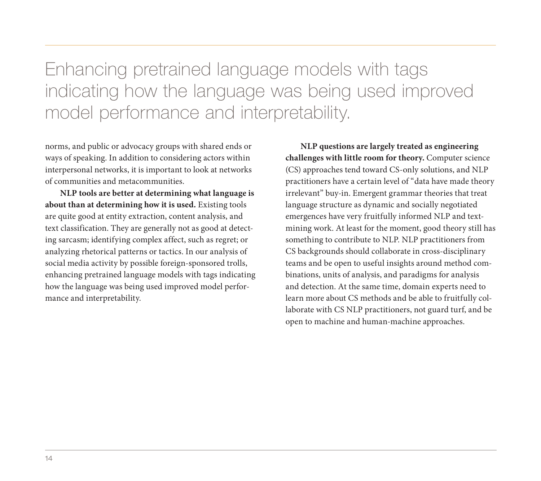Enhancing pretrained language models with tags indicating how the language was being used improved model performance and interpretability.

norms, and public or advocacy groups with shared ends or ways of speaking. In addition to considering actors within interpersonal networks, it is important to look at networks of communities and metacommunities.

**NLP tools are better at determining what language is about than at determining how it is used.** Existing tools are quite good at entity extraction, content analysis, and text classification. They are generally not as good at detecting sarcasm; identifying complex affect, such as regret; or analyzing rhetorical patterns or tactics. In our analysis of social media activity by possible foreign-sponsored trolls, enhancing pretrained language models with tags indicating how the language was being used improved model performance and interpretability.

**NLP questions are largely treated as engineering challenges with little room for theory.** Computer science (CS) approaches tend toward CS-only solutions, and NLP practitioners have a certain level of "data have made theory irrelevant" buy-in. Emergent grammar theories that treat language structure as dynamic and socially negotiated emergences have very fruitfully informed NLP and textmining work. At least for the moment, good theory still has something to contribute to NLP. NLP practitioners from CS backgrounds should collaborate in cross-disciplinary teams and be open to useful insights around method combinations, units of analysis, and paradigms for analysis and detection. At the same time, domain experts need to learn more about CS methods and be able to fruitfully collaborate with CS NLP practitioners, not guard turf, and be open to machine and human-machine approaches.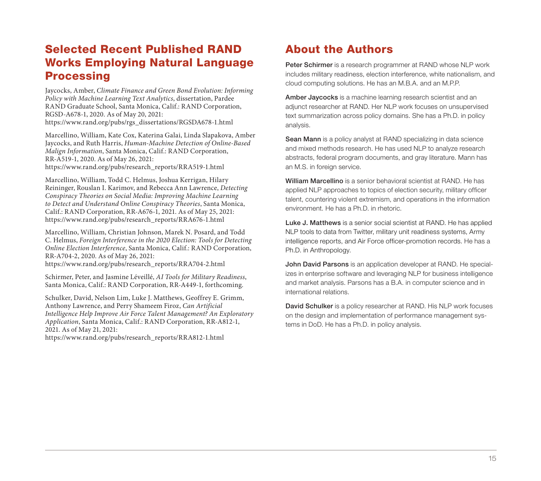## Selected Recent Published RAND Works Employing Natural Language **Processing**

Jaycocks, Amber, *Climate Finance and Green Bond Evolution: Informing Policy with Machine Learning Text Analytics*, dissertation, Pardee RAND Graduate School, Santa Monica, Calif.: RAND Corporation, RGSD-A678-1, 2020. As of May 20, 2021: [https://www.rand.org/pubs/rgs\\_dissertations/RGSDA678-1.html](https://www.rand.org/pubs/rgs_dissertations/RGSDA678-1.html)

Marcellino, William, Kate Cox, Katerina Galai, Linda Slapakova, Amber Jaycocks, and Ruth Harris, *Human-Machine Detection of Online-Based Malign Information*, Santa Monica, Calif.: RAND Corporation, RR-A519-1, 2020. As of May 26, 2021: [https://www.rand.org/pubs/research\\_reports/RRA519-1.html](https://www.rand.org/pubs/research_reports/RRA519-1.html)

Marcellino, William, Todd C. Helmus, Joshua Kerrigan, Hilary Reininger, Rouslan I. Karimov, and Rebecca Ann Lawrence, *Detecting Conspiracy Theories on Social Media: Improving Machine Learning to Detect and Understand Online Conspiracy Theories*, Santa Monica, Calif.: RAND Corporation, RR-A676-1, 2021. As of May 25, 2021: [https://www.rand.org/pubs/research\\_reports/RRA676-1.html](https://www.rand.org/pubs/research_reports/RRA676-1.html)

Marcellino, William, Christian Johnson, Marek N. Posard, and Todd C. Helmus, *Foreign Interference in the 2020 Election: Tools for Detecting Online Election Interference*, Santa Monica, Calif.: RAND Corporation, RR-A704-2, 2020. As of May 26, 2021:

[https://www.rand.org/pubs/research\\_reports/RRA704-2.html](https://www.rand.org/pubs/research_reports/RRA704-2.html)

Schirmer, Peter, and Jasmine Léveillé, *AI Tools for Military Readiness*, Santa Monica, Calif.: RAND Corporation, RR-A449-1, forthcoming.

Schulker, David, Nelson Lim, Luke J. Matthews, Geoffrey E. Grimm, Anthony Lawrence, and Perry Shameem Firoz, *Can Artificial Intelligence Help Improve Air Force Talent Management? An Exploratory Application*, Santa Monica, Calif.: RAND Corporation, RR-A812-1, 2021. As of May 21, 2021:

[https://www.rand.org/pubs/research\\_reports/RRA812-1.html](https://www.rand.org/pubs/research_reports/RRA812-1.html)

### About the Authors

Peter Schirmer is a research programmer at RAND whose NLP work includes military readiness, election interference, white nationalism, and cloud computing solutions. He has an M.B.A. and an M.P.P.

Amber Jaycocks is a machine learning research scientist and an adjunct researcher at RAND. Her NLP work focuses on unsupervised text summarization across policy domains. She has a Ph.D. in policy analysis.

Sean Mann is a policy analyst at RAND specializing in data science and mixed methods research. He has used NLP to analyze research abstracts, federal program documents, and gray literature. Mann has an M.S. in foreign service.

William Marcellino is a senior behavioral scientist at RAND. He has applied NLP approaches to topics of election security, military officer talent, countering violent extremism, and operations in the information environment. He has a Ph.D. in rhetoric.

Luke J. Matthews is a senior social scientist at RAND. He has applied NLP tools to data from Twitter, military unit readiness systems, Army intelligence reports, and Air Force officer-promotion records. He has a Ph.D. in Anthropology.

John David Parsons is an application developer at RAND. He specializes in enterprise software and leveraging NLP for business intelligence and market analysis. Parsons has a B.A. in computer science and in international relations.

David Schulker is a policy researcher at RAND. His NLP work focuses on the design and implementation of performance management systems in DoD. He has a Ph.D. in policy analysis.